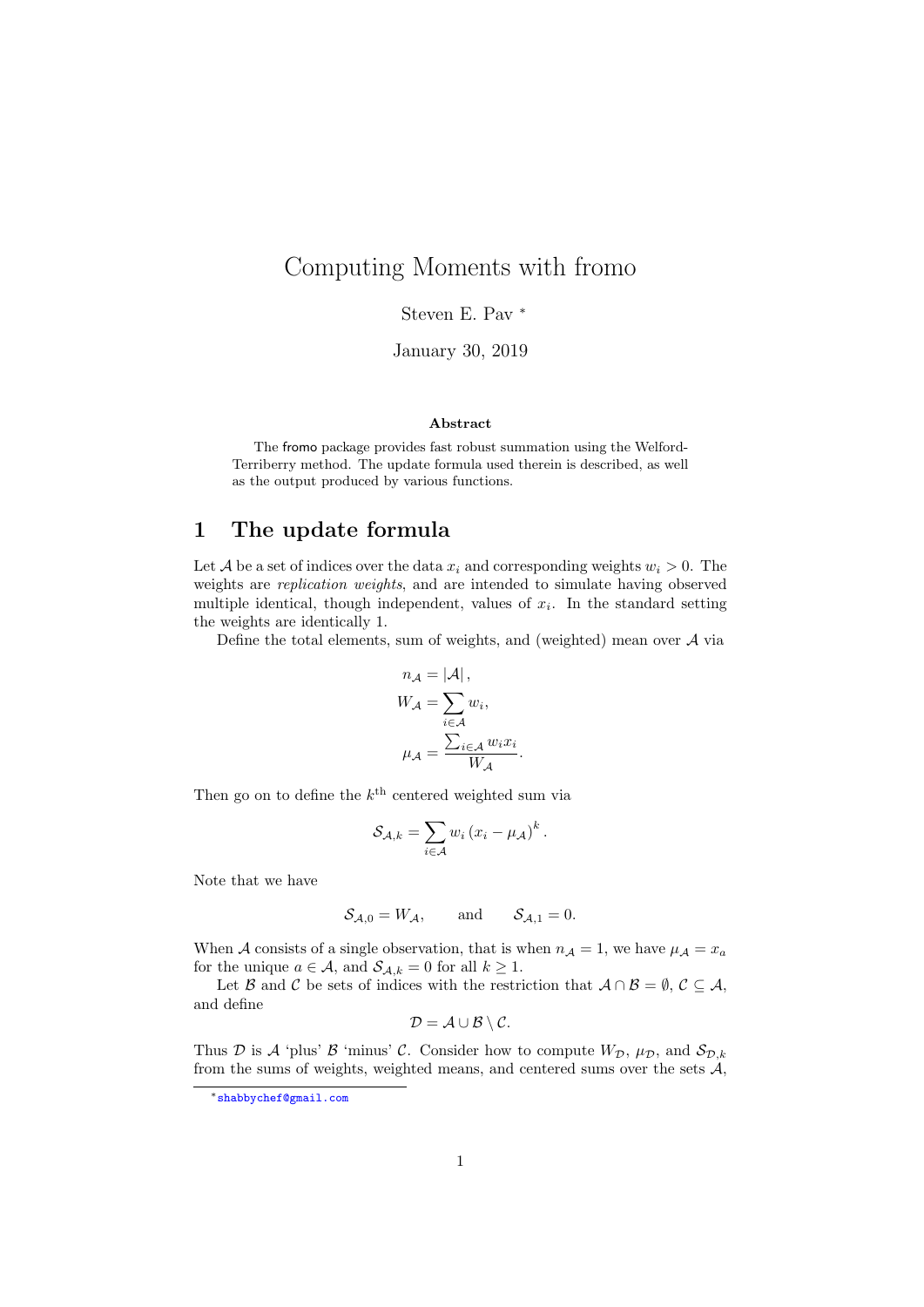# Computing Moments with fromo

Steven E. Pav <sup>∗</sup>

January 30, 2019

#### Abstract

The fromo package provides fast robust summation using the Welford-Terriberry method. The update formula used therein is described, as well as the output produced by various functions.

## 1 The update formula

Let A be a set of indices over the data  $x_i$  and corresponding weights  $w_i > 0$ . The weights are replication weights, and are intended to simulate having observed multiple identical, though independent, values of  $x_i$ . In the standard setting the weights are identically 1.

Define the total elements, sum of weights, and (weighted) mean over A via

$$
n_{A} = |A|,
$$
  
\n
$$
W_{A} = \sum_{i \in A} w_{i},
$$
  
\n
$$
\mu_{A} = \frac{\sum_{i \in A} w_{i} x_{i}}{W_{A}}
$$

.

Then go on to define the  $k^{\text{th}}$  centered weighted sum via

$$
\mathcal{S}_{\mathcal{A},k} = \sum_{i \in \mathcal{A}} w_i (x_i - \mu_{\mathcal{A}})^k.
$$

Note that we have

$$
\mathcal{S}_{\mathcal{A},0} = W_{\mathcal{A}}, \quad \text{and} \quad \mathcal{S}_{\mathcal{A},1} = 0.
$$

When A consists of a single observation, that is when  $n_A = 1$ , we have  $\mu_A = x_a$ for the unique  $a \in \mathcal{A}$ , and  $\mathcal{S}_{\mathcal{A},k} = 0$  for all  $k \geq 1$ .

Let B and C be sets of indices with the restriction that  $A \cap B = \emptyset$ ,  $C \subseteq A$ , and define

$$
\mathcal{D} = \mathcal{A} \cup \mathcal{B} \setminus \mathcal{C}.
$$

Thus D is A 'plus' B 'minus' C. Consider how to compute  $W_{\mathcal{D}}$ ,  $\mu_{\mathcal{D}}$ , and  $\mathcal{S}_{\mathcal{D},k}$ from the sums of weights, weighted means, and centered sums over the sets  $A$ ,

<sup>∗</sup>shabbychef@gmail.com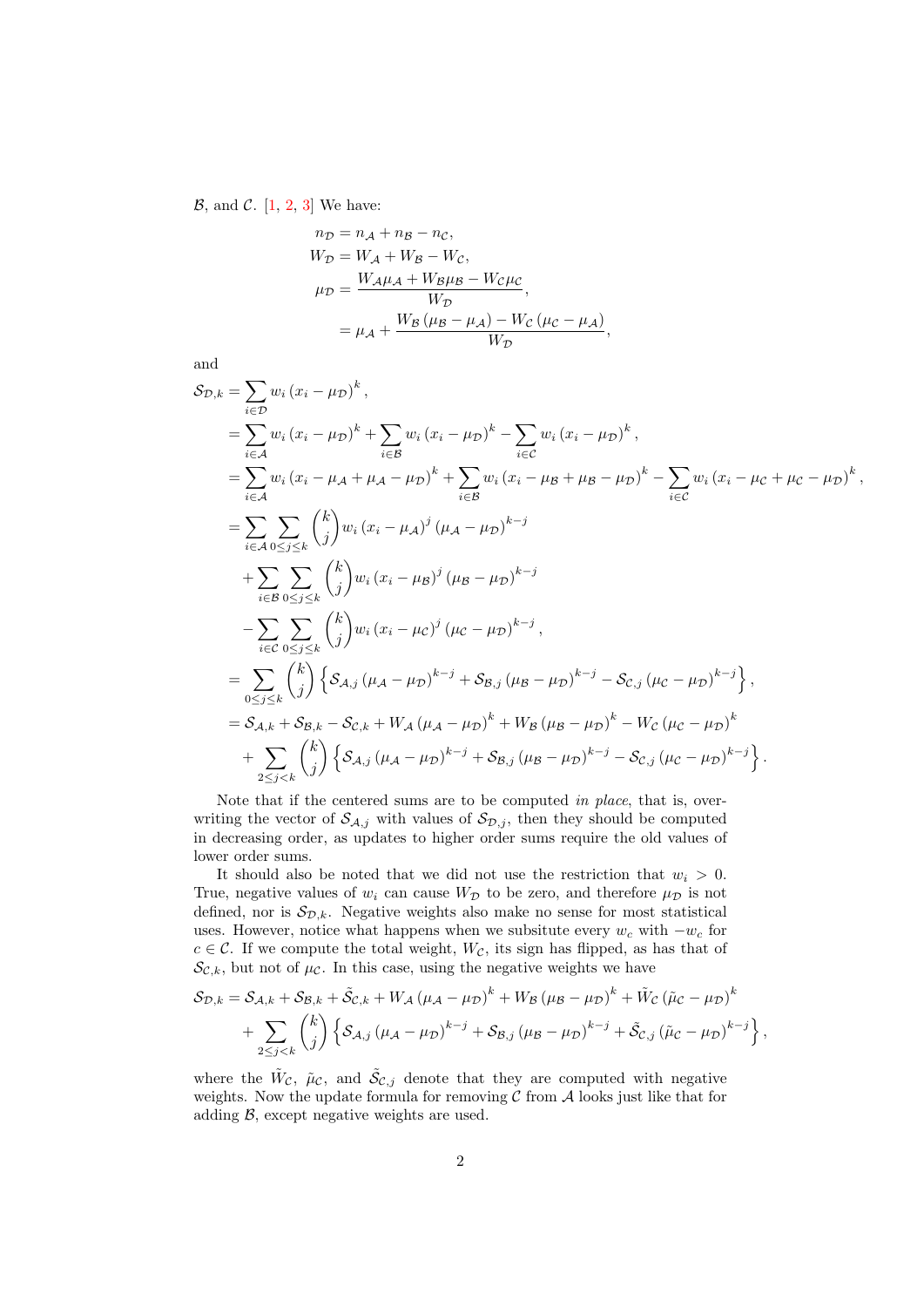$\mathcal{B}$ , and  $\mathcal{C}$ . [1, 2, 3] We have:

$$
n_{\mathcal{D}} = n_{\mathcal{A}} + n_{\mathcal{B}} - n_{\mathcal{C}},
$$
  
\n
$$
W_{\mathcal{D}} = W_{\mathcal{A}} + W_{\mathcal{B}} - W_{\mathcal{C}},
$$
  
\n
$$
\mu_{\mathcal{D}} = \frac{W_{\mathcal{A}}\mu_{\mathcal{A}} + W_{\mathcal{B}}\mu_{\mathcal{B}} - W_{\mathcal{C}}\mu_{\mathcal{C}}}{W_{\mathcal{D}}},
$$
  
\n
$$
= \mu_{\mathcal{A}} + \frac{W_{\mathcal{B}}(\mu_{\mathcal{B}} - \mu_{\mathcal{A}}) - W_{\mathcal{C}}(\mu_{\mathcal{C}} - \mu_{\mathcal{A}})}{W_{\mathcal{D}}}
$$

and

$$
S_{\mathcal{D},k} = \sum_{i \in \mathcal{D}} w_i (x_i - \mu_{\mathcal{D}})^k,
$$
  
\n
$$
= \sum_{i \in A} w_i (x_i - \mu_{\mathcal{D}})^k + \sum_{i \in \mathcal{B}} w_i (x_i - \mu_{\mathcal{D}})^k - \sum_{i \in C} w_i (x_i - \mu_{\mathcal{D}})^k,
$$
  
\n
$$
= \sum_{i \in A} w_i (x_i - \mu_A + \mu_A - \mu_{\mathcal{D}})^k + \sum_{i \in \mathcal{B}} w_i (x_i - \mu_B + \mu_B - \mu_{\mathcal{D}})^k - \sum_{i \in C} w_i (x_i - \mu_C + \mu_C - \mu_{\mathcal{D}})^k,
$$
  
\n
$$
= \sum_{i \in A} \sum_{0 \le j \le k} {k \choose j} w_i (x_i - \mu_A)^j (\mu_A - \mu_{\mathcal{D}})^{k-j}
$$
  
\n
$$
+ \sum_{i \in B} \sum_{0 \le j \le k} {k \choose j} w_i (x_i - \mu_C)^j (\mu_C - \mu_{\mathcal{D}})^{k-j},
$$
  
\n
$$
= \sum_{0 \le j \le k} {k \choose j} \left\{ S_{A,j} (\mu_A - \mu_{\mathcal{D}})^{k-j} + S_{B,j} (\mu_B - \mu_{\mathcal{D}})^{k-j} - S_{C,j} (\mu_C - \mu_{\mathcal{D}})^{k-j} \right\},
$$
  
\n
$$
= S_{A,k} + S_{B,k} - S_{C,k} + W_A (\mu_A - \mu_{\mathcal{D}})^k + W_B (\mu_B - \mu_{\mathcal{D}})^k - W_C (\mu_C - \mu_{\mathcal{D}})^k
$$
  
\n
$$
+ \sum_{2 \le j \le k} {k \choose j} \left\{ S_{A,j} (\mu_A - \mu_{\mathcal{D}})^{k-j} + S_{B,j} (\mu_B - \mu_{\mathcal{D}})^{k-j} - S_{C,j} (\mu_C - \mu_{\mathcal{D}})^{k-j} \right\}.
$$

,

Note that if the centered sums are to be computed in place, that is, overwriting the vector of  $\mathcal{S}_{A,j}$  with values of  $\mathcal{S}_{D,j}$ , then they should be computed in decreasing order, as updates to higher order sums require the old values of lower order sums.

It should also be noted that we did not use the restriction that  $w_i > 0$ . True, negative values of  $w_i$  can cause  $W_{\mathcal{D}}$  to be zero, and therefore  $\mu_{\mathcal{D}}$  is not defined, nor is  $S_{\mathcal{D},k}$ . Negative weights also make no sense for most statistical uses. However, notice what happens when we subsitute every  $w_c$  with  $-w_c$  for  $c \in \mathcal{C}$ . If we compute the total weight,  $W_{\mathcal{C}}$ , its sign has flipped, as has that of  $\mathcal{S}_{\mathcal{C},k}$ , but not of  $\mu_{\mathcal{C}}$ . In this case, using the negative weights we have

$$
S_{\mathcal{D},k} = S_{\mathcal{A},k} + S_{\mathcal{B},k} + \tilde{S}_{\mathcal{C},k} + W_{\mathcal{A}} (\mu_{\mathcal{A}} - \mu_{\mathcal{D}})^{k} + W_{\mathcal{B}} (\mu_{\mathcal{B}} - \mu_{\mathcal{D}})^{k} + \tilde{W}_{\mathcal{C}} (\tilde{\mu}_{\mathcal{C}} - \mu_{\mathcal{D}})^{k} + \sum_{2 \leq j < k} {k \choose j} \left\{ S_{\mathcal{A},j} (\mu_{\mathcal{A}} - \mu_{\mathcal{D}})^{k-j} + S_{\mathcal{B},j} (\mu_{\mathcal{B}} - \mu_{\mathcal{D}})^{k-j} + \tilde{S}_{\mathcal{C},j} (\tilde{\mu}_{\mathcal{C}} - \mu_{\mathcal{D}})^{k-j} \right\},
$$

where the  $\tilde{W}_{\mathcal{C}}$ ,  $\tilde{\mu}_{\mathcal{C}}$ , and  $\tilde{\mathcal{S}}_{\mathcal{C},j}$  denote that they are computed with negative weights. Now the update formula for removing  $C$  from  $A$  looks just like that for adding  $\beta$ , except negative weights are used.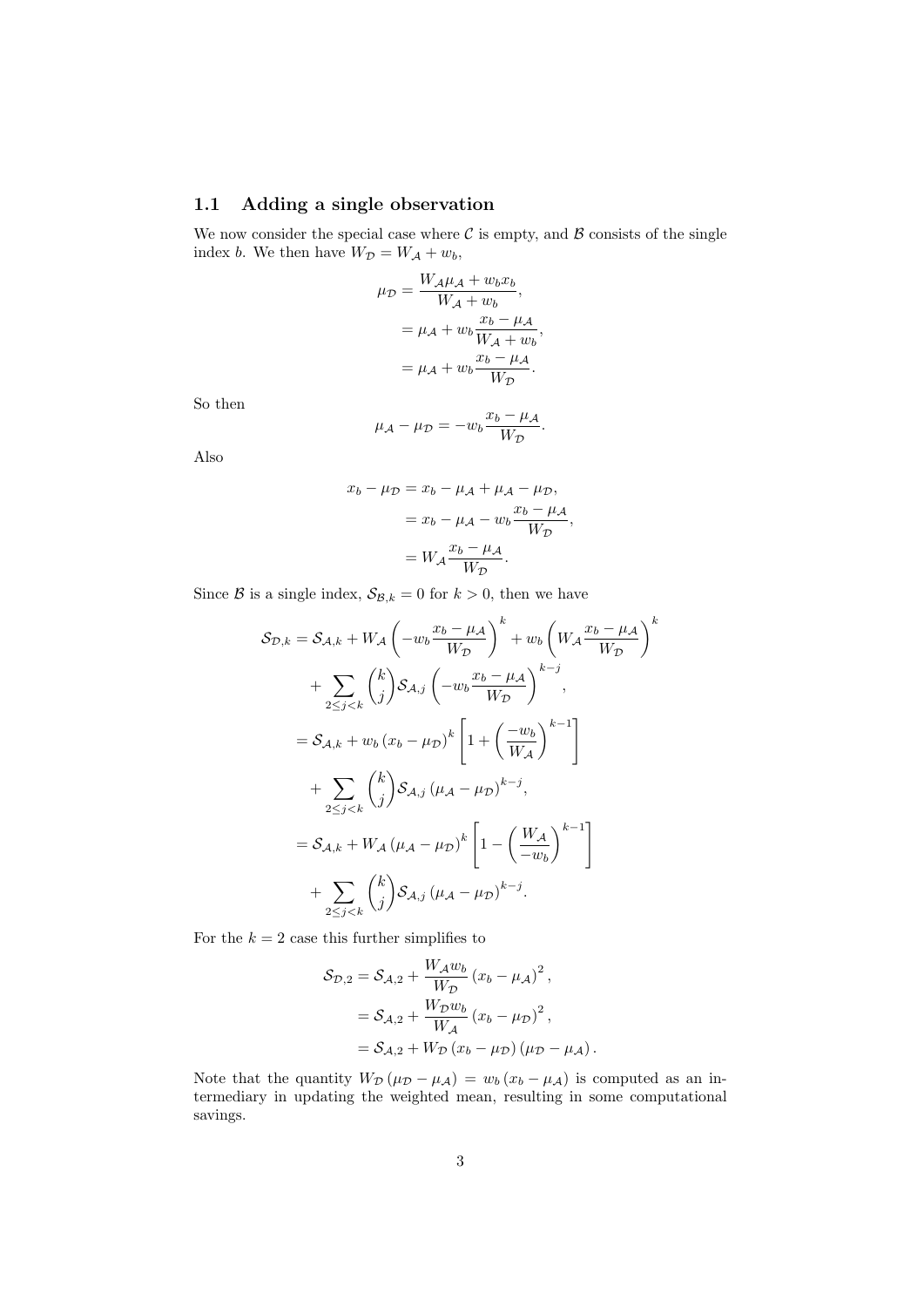### 1.1 Adding a single observation

We now consider the special case where  $\mathcal C$  is empty, and  $\mathcal B$  consists of the single index b. We then have  $W_{\mathcal{D}} = W_{\mathcal{A}} + w_b$ ,

$$
\mu_{\mathcal{D}} = \frac{W_{\mathcal{A}}\mu_{\mathcal{A}} + w_b x_b}{W_{\mathcal{A}} + w_b},
$$

$$
= \mu_{\mathcal{A}} + w_b \frac{x_b - \mu_{\mathcal{A}}}{W_{\mathcal{A}} + w_b},
$$

$$
= \mu_{\mathcal{A}} + w_b \frac{x_b - \mu_{\mathcal{A}}}{W_{\mathcal{D}}},
$$

So then

$$
\mu_{\mathcal{A}} - \mu_{\mathcal{D}} = -w_b \frac{x_b - \mu_{\mathcal{A}}}{W_{\mathcal{D}}}.
$$

Also

$$
x_b - \mu_{\mathcal{D}} = x_b - \mu_{\mathcal{A}} + \mu_{\mathcal{A}} - \mu_{\mathcal{D}},
$$
  
=  $x_b - \mu_{\mathcal{A}} - w_b \frac{x_b - \mu_{\mathcal{A}}}{W_{\mathcal{D}}},$   
=  $W_{\mathcal{A}} \frac{x_b - \mu_{\mathcal{A}}}{W_{\mathcal{D}}}$ .

Since B is a single index,  $S_{\mathcal{B},k} = 0$  for  $k > 0$ , then we have

$$
S_{D,k} = S_{A,k} + W_A \left( -w_b \frac{x_b - \mu_A}{W_D} \right)^k + w_b \left( W_A \frac{x_b - \mu_A}{W_D} \right)^k
$$
  
+ 
$$
\sum_{2 \le j < k} {k \choose j} S_{A,j} \left( -w_b \frac{x_b - \mu_A}{W_D} \right)^{k-j},
$$
  
= 
$$
S_{A,k} + w_b (x_b - \mu_D)^k \left[ 1 + \left( \frac{-w_b}{W_A} \right)^{k-1} \right]
$$
  
+ 
$$
\sum_{2 \le j < k} {k \choose j} S_{A,j} (\mu_A - \mu_D)^{k-j},
$$
  
= 
$$
S_{A,k} + W_A (\mu_A - \mu_D)^k \left[ 1 - \left( \frac{W_A}{-w_b} \right)^{k-1} \right]
$$
  
+ 
$$
\sum_{2 \le j < k} {k \choose j} S_{A,j} (\mu_A - \mu_D)^{k-j}.
$$

For the  $k = 2$  case this further simplifies to

$$
\mathcal{S}_{\mathcal{D},2} = \mathcal{S}_{\mathcal{A},2} + \frac{W_{\mathcal{A}}w_{b}}{W_{\mathcal{D}}}(x_{b} - \mu_{\mathcal{A}})^{2},
$$
  
=  $\mathcal{S}_{\mathcal{A},2} + \frac{W_{\mathcal{D}}w_{b}}{W_{\mathcal{A}}}(x_{b} - \mu_{\mathcal{D}})^{2},$   
=  $\mathcal{S}_{\mathcal{A},2} + W_{\mathcal{D}}(x_{b} - \mu_{\mathcal{D}})(\mu_{\mathcal{D}} - \mu_{\mathcal{A}}).$ 

Note that the quantity  $W_{\mathcal{D}}(\mu_{\mathcal{D}} - \mu_{\mathcal{A}}) = w_b (x_b - \mu_{\mathcal{A}})$  is computed as an intermediary in updating the weighted mean, resulting in some computational savings.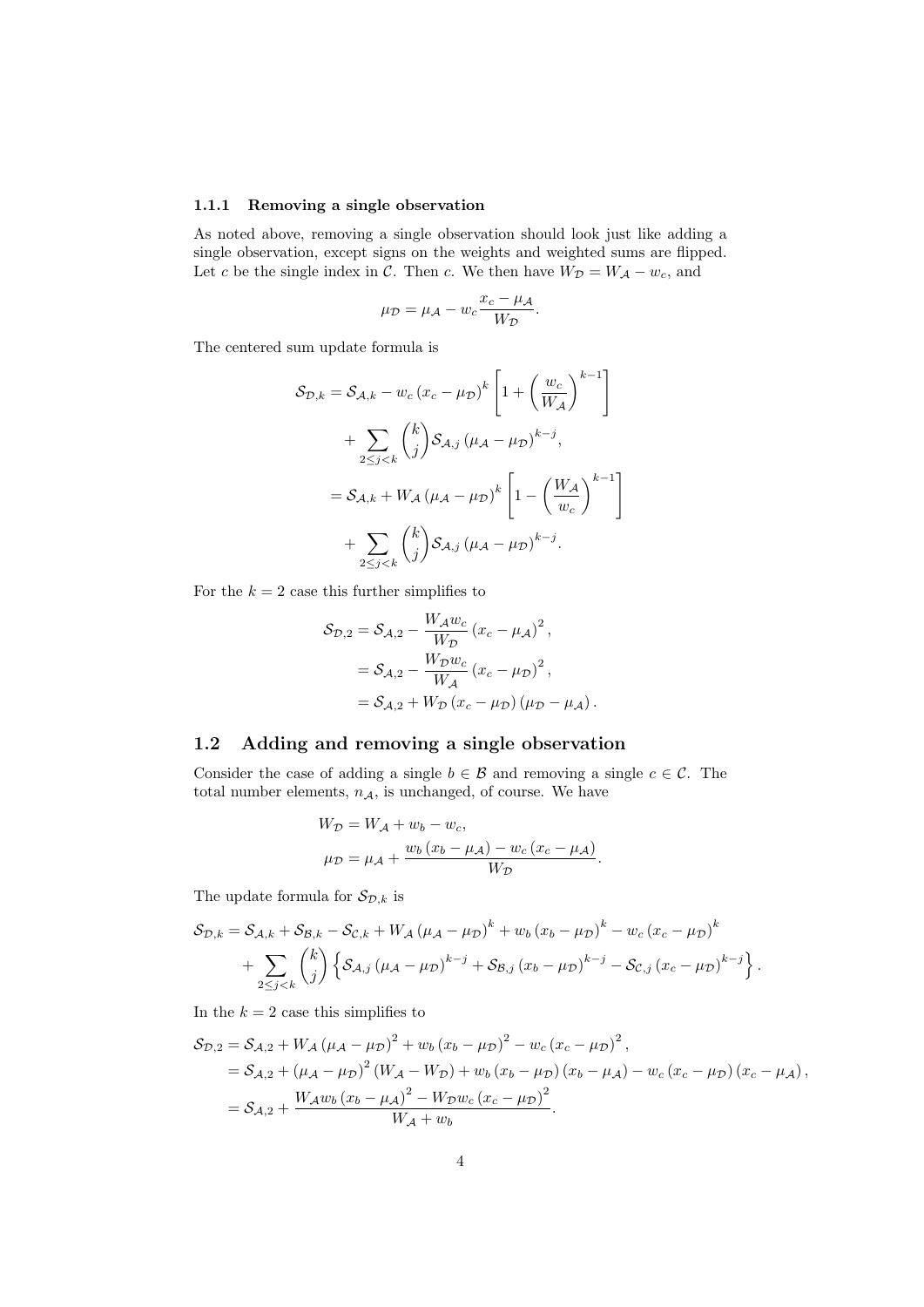#### 1.1.1 Removing a single observation

As noted above, removing a single observation should look just like adding a single observation, except signs on the weights and weighted sums are flipped. Let c be the single index in  $\mathcal{C}$ . Then c. We then have  $W_{\mathcal{D}} = W_{\mathcal{A}} - w_{c}$ , and

$$
\mu_{\mathcal{D}} = \mu_{\mathcal{A}} - w_c \frac{x_c - \mu_{\mathcal{A}}}{W_{\mathcal{D}}}.
$$

The centered sum update formula is

$$
\mathcal{S}_{\mathcal{D},k} = \mathcal{S}_{\mathcal{A},k} - w_c (x_c - \mu_{\mathcal{D}})^k \left[ 1 + \left( \frac{w_c}{W_{\mathcal{A}}} \right)^{k-1} \right]
$$
  
+ 
$$
\sum_{2 \leq j < k} {k \choose j} \mathcal{S}_{\mathcal{A},j} (\mu_{\mathcal{A}} - \mu_{\mathcal{D}})^{k-j},
$$
  
= 
$$
\mathcal{S}_{\mathcal{A},k} + W_{\mathcal{A}} (\mu_{\mathcal{A}} - \mu_{\mathcal{D}})^k \left[ 1 - \left( \frac{W_{\mathcal{A}}}{w_c} \right)^{k-1} \right]
$$
  
+ 
$$
\sum_{2 \leq j < k} {k \choose j} \mathcal{S}_{\mathcal{A},j} (\mu_{\mathcal{A}} - \mu_{\mathcal{D}})^{k-j}.
$$

For the  $k = 2$  case this further simplifies to

$$
\mathcal{S}_{D,2} = \mathcal{S}_{A,2} - \frac{W_A w_c}{W_D} (x_c - \mu_A)^2,
$$
  
=  $\mathcal{S}_{A,2} - \frac{W_D w_c}{W_A} (x_c - \mu_D)^2,$   
=  $\mathcal{S}_{A,2} + W_D (x_c - \mu_D) (\mu_D - \mu_A).$ 

## 1.2 Adding and removing a single observation

Consider the case of adding a single  $b \in \mathcal{B}$  and removing a single  $c \in \mathcal{C}$ . The total number elements,  $n_A$ , is unchanged, of course. We have

$$
W_{\mathcal{D}} = W_{\mathcal{A}} + w_b - w_c,
$$
  

$$
\mu_{\mathcal{D}} = \mu_{\mathcal{A}} + \frac{w_b (x_b - \mu_{\mathcal{A}}) - w_c (x_c - \mu_{\mathcal{A}})}{W_{\mathcal{D}}}.
$$

The update formula for  $S_{\mathcal{D},k}$  is

$$
S_{\mathcal{D},k} = S_{\mathcal{A},k} + S_{\mathcal{B},k} - S_{\mathcal{C},k} + W_{\mathcal{A}} (\mu_{\mathcal{A}} - \mu_{\mathcal{D}})^{k} + w_{b} (x_{b} - \mu_{\mathcal{D}})^{k} - w_{c} (x_{c} - \mu_{\mathcal{D}})^{k} + \sum_{2 \leq j < k} {k \choose j} \left\{ S_{\mathcal{A},j} (\mu_{\mathcal{A}} - \mu_{\mathcal{D}})^{k-j} + S_{\mathcal{B},j} (x_{b} - \mu_{\mathcal{D}})^{k-j} - S_{\mathcal{C},j} (x_{c} - \mu_{\mathcal{D}})^{k-j} \right\}.
$$

In the  $k = 2$  case this simplifies to

$$
\mathcal{S}_{\mathcal{D},2} = \mathcal{S}_{\mathcal{A},2} + W_{\mathcal{A}} (\mu_{\mathcal{A}} - \mu_{\mathcal{D}})^2 + w_b (x_b - \mu_{\mathcal{D}})^2 - w_c (x_c - \mu_{\mathcal{D}})^2,
$$
  
=  $\mathcal{S}_{\mathcal{A},2} + (\mu_{\mathcal{A}} - \mu_{\mathcal{D}})^2 (W_{\mathcal{A}} - W_{\mathcal{D}}) + w_b (x_b - \mu_{\mathcal{D}}) (x_b - \mu_{\mathcal{A}}) - w_c (x_c - \mu_{\mathcal{D}}) (x_c - \mu_{\mathcal{A}}),$   
=  $\mathcal{S}_{\mathcal{A},2} + \frac{W_{\mathcal{A}} w_b (x_b - \mu_{\mathcal{A}})^2 - W_{\mathcal{D}} w_c (x_c - \mu_{\mathcal{D}})^2}{W_{\mathcal{A}} + w_b}.$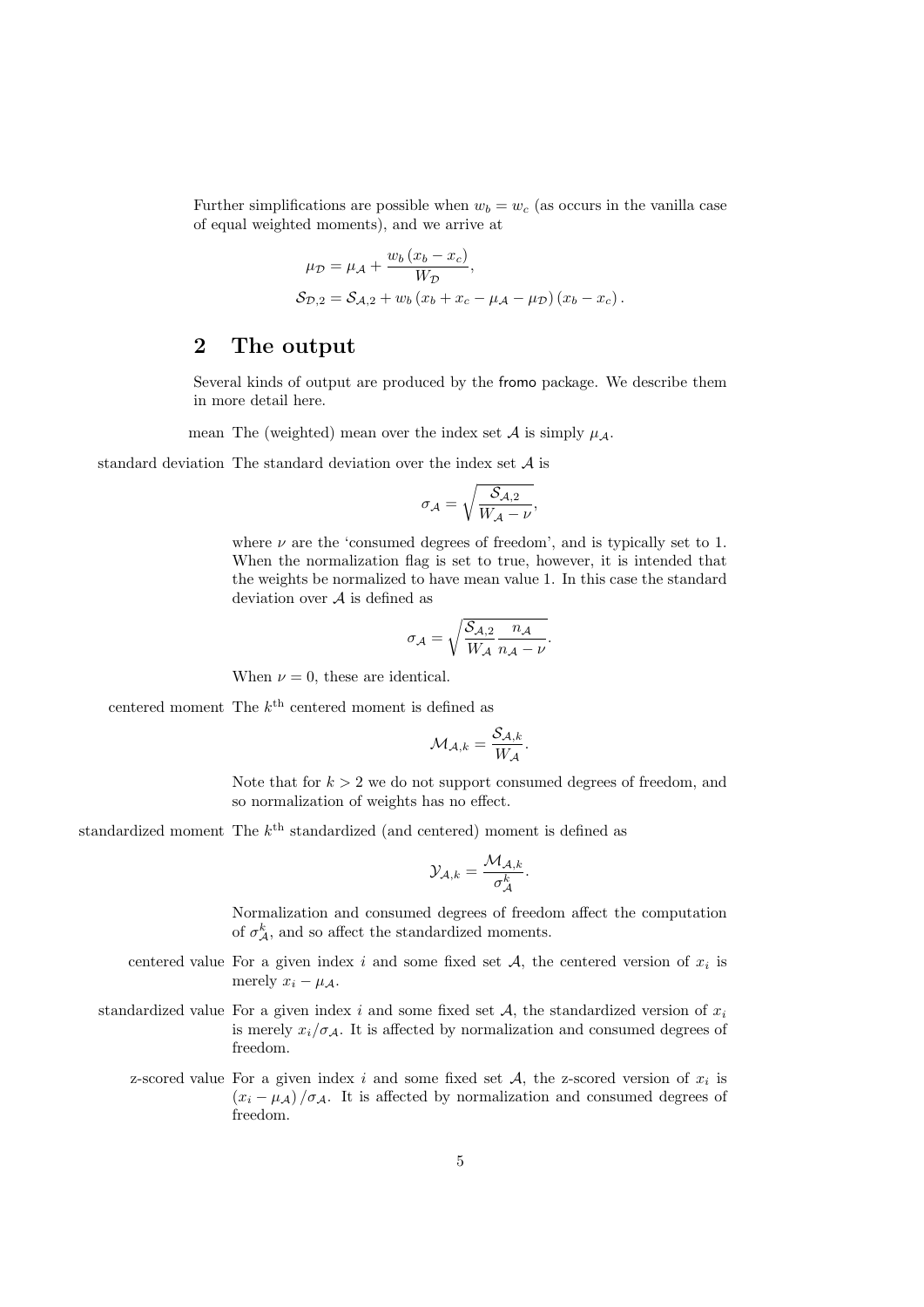Further simplifications are possible when  $w_b = w_c$  (as occurs in the vanilla case of equal weighted moments), and we arrive at

$$
\mu_{\mathcal{D}} = \mu_{\mathcal{A}} + \frac{w_b (x_b - x_c)}{W_{\mathcal{D}}},
$$
  

$$
\mathcal{S}_{\mathcal{D},2} = \mathcal{S}_{\mathcal{A},2} + w_b (x_b + x_c - \mu_{\mathcal{A}} - \mu_{\mathcal{D}}) (x_b - x_c).
$$

## 2 The output

Several kinds of output are produced by the fromo package. We describe them in more detail here.

mean The (weighted) mean over the index set  $A$  is simply  $\mu_A$ .

standard deviation The standard deviation over the index set A is

$$
\sigma_{\mathcal{A}} = \sqrt{\frac{\mathcal{S}_{\mathcal{A},2}}{W_{\mathcal{A}} - \nu}},
$$

where  $\nu$  are the 'consumed degrees of freedom', and is typically set to 1. When the normalization flag is set to true, however, it is intended that the weights be normalized to have mean value 1. In this case the standard deviation over  $A$  is defined as

$$
\sigma_{\mathcal{A}} = \sqrt{\frac{\mathcal{S}_{\mathcal{A},2}}{W_{\mathcal{A}}} \frac{n_{\mathcal{A}}}{n_{\mathcal{A}} - \nu}}.
$$

When  $\nu = 0$ , these are identical.

centered moment The  $k^{\text{th}}$  centered moment is defined as

$$
\mathcal{M}_{\mathcal{A},k} = \frac{\mathcal{S}_{\mathcal{A},k}}{W_{\mathcal{A}}}.
$$

Note that for  $k > 2$  we do not support consumed degrees of freedom, and so normalization of weights has no effect.

standardized moment The  $k^{\text{th}}$  standardized (and centered) moment is defined as

$$
\mathcal{Y}_{\mathcal{A},k} = \frac{\mathcal{M}_{\mathcal{A},k}}{\sigma_{\mathcal{A}}^{k}}.
$$

Normalization and consumed degrees of freedom affect the computation of  $\sigma_{\mathcal{A}}^{k}$ , and so affect the standardized moments.

- centered value For a given index i and some fixed set  $A$ , the centered version of  $x_i$  is merely  $x_i - \mu_A$ .
- standardized value For a given index i and some fixed set  $A$ , the standardized version of  $x_i$ is merely  $x_i/\sigma_{\mathcal{A}}$ . It is affected by normalization and consumed degrees of freedom.
	- z-scored value For a given index i and some fixed set  $A$ , the z-scored version of  $x_i$  is  $(x_i - \mu_A)/\sigma_A$ . It is affected by normalization and consumed degrees of freedom.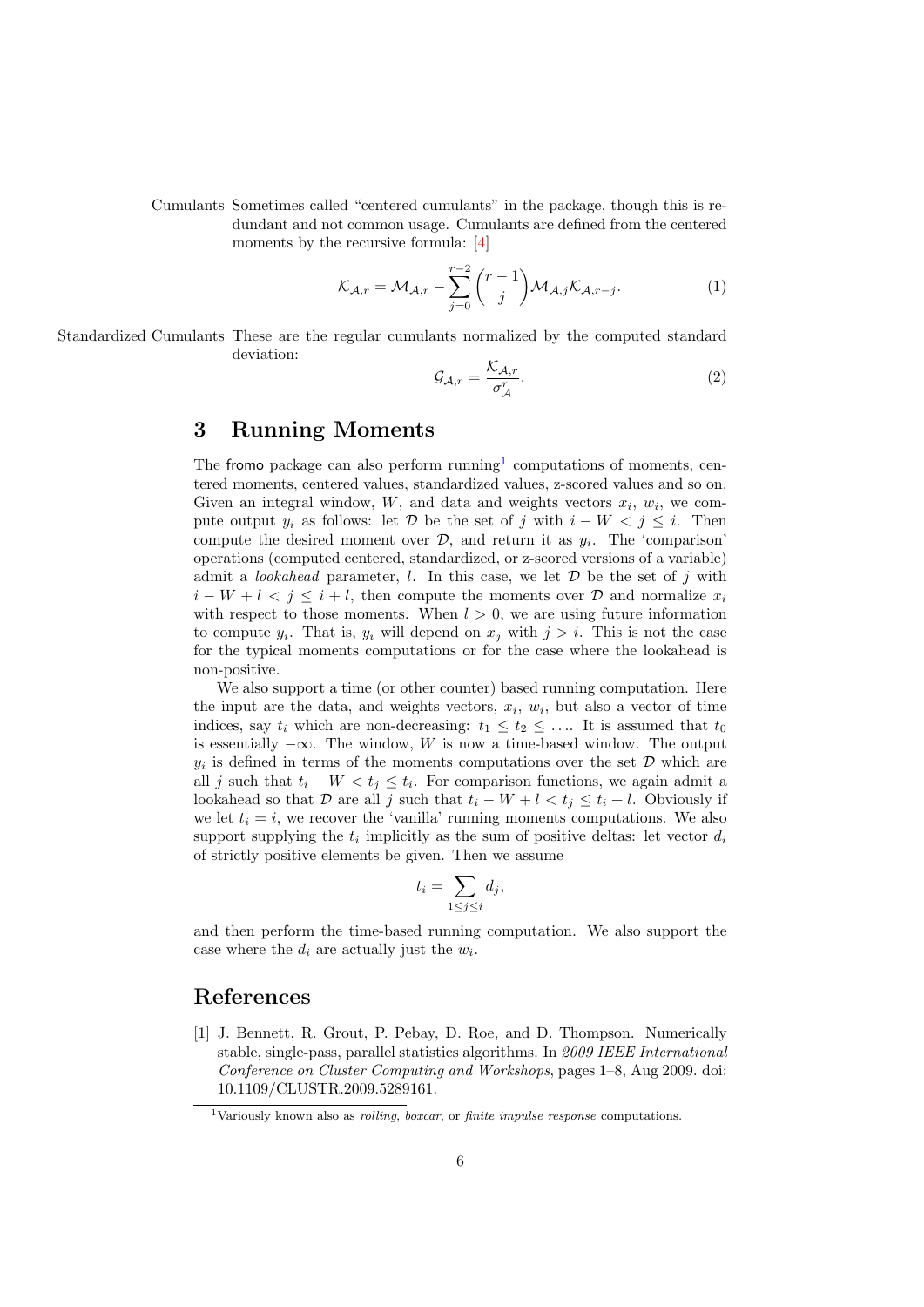Cumulants Sometimes called "centered cumulants" in the package, though this is redundant and not common usage. Cumulants are defined from the centered moments by the recursive formula: [4]

$$
\mathcal{K}_{\mathcal{A},r} = \mathcal{M}_{\mathcal{A},r} - \sum_{j=0}^{r-2} {r-1 \choose j} \mathcal{M}_{\mathcal{A},j} \mathcal{K}_{\mathcal{A},r-j}.
$$
 (1)

Standardized Cumulants These are the regular cumulants normalized by the computed standard deviation:

$$
\mathcal{G}_{\mathcal{A},r} = \frac{\mathcal{K}_{\mathcal{A},r}}{\sigma_{\mathcal{A}}^r}.
$$
 (2)

## 3 Running Moments

The fromo package can also perform running<sup>1</sup> computations of moments, centered moments, centered values, standardized values, z-scored values and so on. Given an integral window,  $W$ , and data and weights vectors  $x_i$ ,  $w_i$ , we compute output  $y_i$  as follows: let D be the set of j with  $i - W < j \leq i$ . Then compute the desired moment over  $\mathcal{D}$ , and return it as  $y_i$ . The 'comparison' operations (computed centered, standardized, or z-scored versions of a variable) admit a *lookahead* parameter, l. In this case, we let  $D$  be the set of j with  $i - W + l < j \leq i + l$ , then compute the moments over D and normalize  $x_i$ with respect to those moments. When  $l > 0$ , we are using future information to compute  $y_i$ . That is,  $y_i$  will depend on  $x_j$  with  $j > i$ . This is not the case for the typical moments computations or for the case where the lookahead is non-positive.

We also support a time (or other counter) based running computation. Here the input are the data, and weights vectors,  $x_i$ ,  $w_i$ , but also a vector of time indices, say  $t_i$  which are non-decreasing:  $t_1 \leq t_2 \leq \ldots$  It is assumed that  $t_0$ is essentially  $-\infty$ . The window, W is now a time-based window. The output  $y_i$  is defined in terms of the moments computations over the set  $\mathcal D$  which are all j such that  $t_i - W < t_j \leq t_i$ . For comparison functions, we again admit a lookahead so that D are all j such that  $t_i - W + l < t_j \leq t_i + l$ . Obviously if we let  $t_i = i$ , we recover the 'vanilla' running moments computations. We also support supplying the  $t_i$  implicitly as the sum of positive deltas: let vector  $d_i$ of strictly positive elements be given. Then we assume

$$
t_i = \sum_{1 \le j \le i} d_j,
$$

and then perform the time-based running computation. We also support the case where the  $d_i$  are actually just the  $w_i$ .

## References

[1] J. Bennett, R. Grout, P. Pebay, D. Roe, and D. Thompson. Numerically stable, single-pass, parallel statistics algorithms. In 2009 IEEE International Conference on Cluster Computing and Workshops, pages 1–8, Aug 2009. doi: 10.1109/CLUSTR.2009.5289161.

<sup>&</sup>lt;sup>1</sup>Variously known also as *rolling, boxcar*, or *finite impulse response* computations.